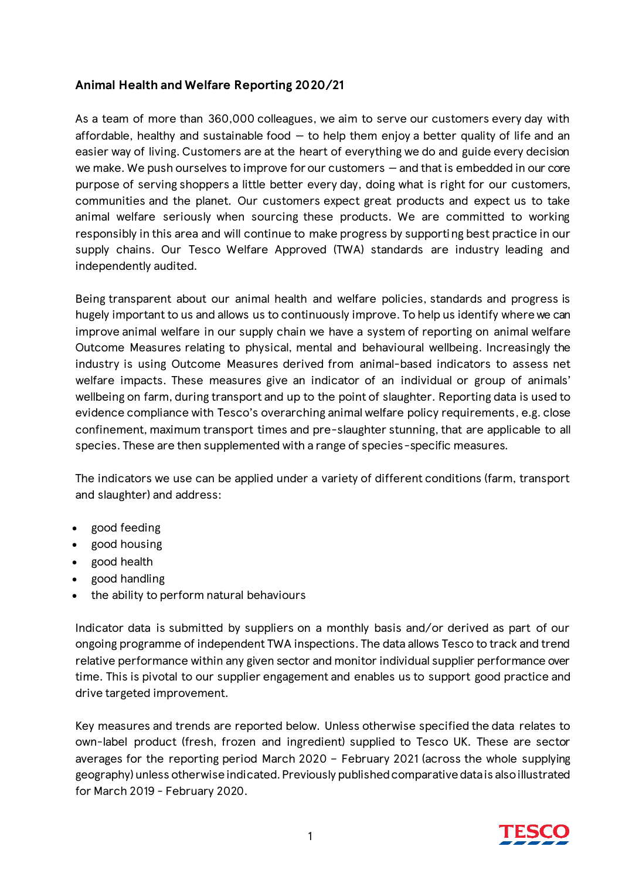# **Animal Health and Welfare Reporting 2020/21**

As a team of more than 360,000 colleagues, we aim to serve our customers every day with affordable, healthy and sustainable food  $-$  to help them enjoy a better quality of life and an easier way of living. Customers are at the heart of everything we do and guide every decision we make. We push ourselves to improve for our customers — and that is embedded in our core purpose of serving shoppers a little better every day, doing what is right for our customers, communities and the planet. Our customers expect great products and expect us to take animal welfare seriously when sourcing these products. We are committed to working responsibly in this area and will continue to make progress by supporting best practice in our supply chains. Our Tesco Welfare Approved (TWA) standards are industry leading and independently audited.

Being transparent about our animal health and welfare policies, standards and progress is hugely important to us and allows us to continuously improve. To help us identify where we can improve animal welfare in our supply chain we have a system of reporting on animal welfare Outcome Measures relating to physical, mental and behavioural wellbeing. Increasingly the industry is using Outcome Measures derived from animal-based indicators to assess net welfare impacts. These measures give an indicator of an individual or group of animals' wellbeing on farm, during transport and up to the point of slaughter. Reporting data is used to evidence compliance with Tesco's overarching animal welfare policy requirements, e.g. close confinement, maximum transport times and pre-slaughter stunning, that are applicable to all species. These are then supplemented with a range of species-specific measures.

The indicators we use can be applied under a variety of different conditions (farm, transport and slaughter) and address:

- good feeding
- good housing
- good health
- good handling
- the ability to perform natural behaviours

Indicator data is submitted by suppliers on a monthly basis and/or derived as part of our ongoing programme of independent TWA inspections. The data allows Tesco to track and trend relative performance within any given sector and monitor individual supplier performance over time. This is pivotal to our supplier engagement and enables us to support good practice and drive targeted improvement.

Key measures and trends are reported below. Unless otherwise specified the data relates to own-label product (fresh, frozen and ingredient) supplied to Tesco UK. These are sector averages for the reporting period March 2020 – February 2021 (across the whole supplying geography) unless otherwise indicated. Previously published comparative data is also illustrated for March 2019 - February 2020.

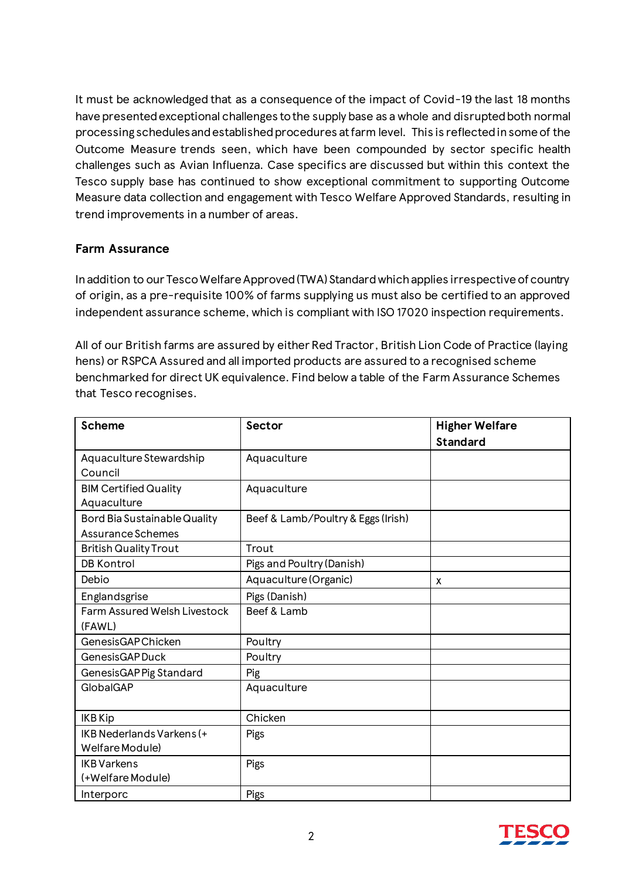It must be acknowledged that as a consequence of the impact of Covid-19 the last 18 months have presented exceptional challenges to the supply base as a whole and disrupted both normal processing schedules and established procedures at farm level. This is reflected in some of the Outcome Measure trends seen, which have been compounded by sector specific health challenges such as Avian Influenza. Case specifics are discussed but within this context the Tesco supply base has continued to show exceptional commitment to supporting Outcome Measure data collection and engagement with Tesco Welfare Approved Standards, resulting in trend improvements in a number of areas.

#### **Farm Assurance**

In addition to our Tesco Welfare Approved (TWA) Standard which applies irrespective of country of origin, as a pre-requisite 100% of farms supplying us must also be certified to an approved independent assurance scheme, which is compliant with ISO 17020 inspection requirements.

All of our British farms are assured by either Red Tractor, British Lion Code of Practice (laying hens) or RSPCA Assured and all imported products are assured to a recognised scheme benchmarked for direct UK equivalence. Find below a table of the Farm Assurance Schemes that Tesco recognises.

| <b>Scheme</b>                       | Sector                             | <b>Higher Welfare</b> |
|-------------------------------------|------------------------------------|-----------------------|
|                                     |                                    | <b>Standard</b>       |
| Aquaculture Stewardship             | Aquaculture                        |                       |
| Council                             |                                    |                       |
| <b>BIM Certified Quality</b>        | Aquaculture                        |                       |
| Aquaculture                         |                                    |                       |
| <b>Bord Bia Sustainable Quality</b> | Beef & Lamb/Poultry & Eggs (Irish) |                       |
| Assurance Schemes                   |                                    |                       |
| <b>British Quality Trout</b>        | Trout                              |                       |
| <b>DB Kontrol</b>                   | Pigs and Poultry (Danish)          |                       |
| Debio                               | Aquaculture (Organic)              | X                     |
| Englandsgrise                       | Pigs (Danish)                      |                       |
| <b>Farm Assured Welsh Livestock</b> | Beef & Lamb                        |                       |
| (FAWL)                              |                                    |                       |
| <b>GenesisGAPChicken</b>            | Poultry                            |                       |
| GenesisGAP Duck                     | Poultry                            |                       |
| GenesisGAP Pig Standard             | Pig                                |                       |
| GlobalGAP                           | Aquaculture                        |                       |
|                                     |                                    |                       |
| <b>IKB Kip</b>                      | Chicken                            |                       |
| IKB Nederlands Varkens (+           | Pigs                               |                       |
| Welfare Module)                     |                                    |                       |
| <b>IKB</b> Varkens                  | Pigs                               |                       |
| (+Welfare Module)                   |                                    |                       |
| Interporc                           | Pigs                               |                       |

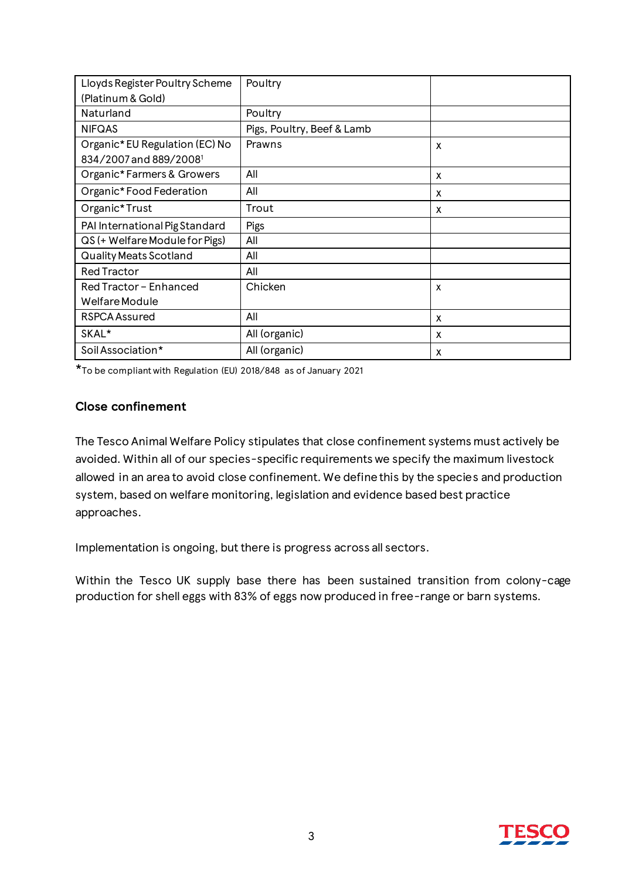| Lloyds Register Poultry Scheme     | Poultry                    |   |
|------------------------------------|----------------------------|---|
| (Platinum & Gold)                  |                            |   |
| Naturland                          | Poultry                    |   |
| <b>NIFQAS</b>                      | Pigs, Poultry, Beef & Lamb |   |
| Organic*EU Regulation (EC) No      | Prawns                     | X |
| 834/2007 and 889/2008 <sup>1</sup> |                            |   |
| Organic* Farmers & Growers         | All                        | X |
| Organic*Food Federation            | All                        | x |
| Organic*Trust                      | Trout                      | X |
| PAI International Pig Standard     | Pigs                       |   |
| QS (+ Welfare Module for Pigs)     | All                        |   |
| <b>Quality Meats Scotland</b>      | All                        |   |
| <b>Red Tractor</b>                 | All                        |   |
| Red Tractor - Enhanced             | Chicken                    | X |
| Welfare Module                     |                            |   |
| <b>RSPCA Assured</b>               | All                        | X |
| SKAL*                              | All (organic)              | x |
| Soil Association*                  | All (organic)              | X |

\*To be compliant with Regulation (EU) 2018/848 as of January 2021

#### **Close confinement**

The Tesco Animal Welfare Policy stipulates that close confinement systems must actively be avoided. Within all of our species-specific requirements we specify the maximum livestock allowed in an area to avoid close confinement. We define this by the species and production system, based on welfare monitoring, legislation and evidence based best practice approaches.

Implementation is ongoing, but there is progress across all sectors.

Within the Tesco UK supply base there has been sustained transition from colony-cage production for shell eggs with 83% of eggs now produced in free-range or barn systems.

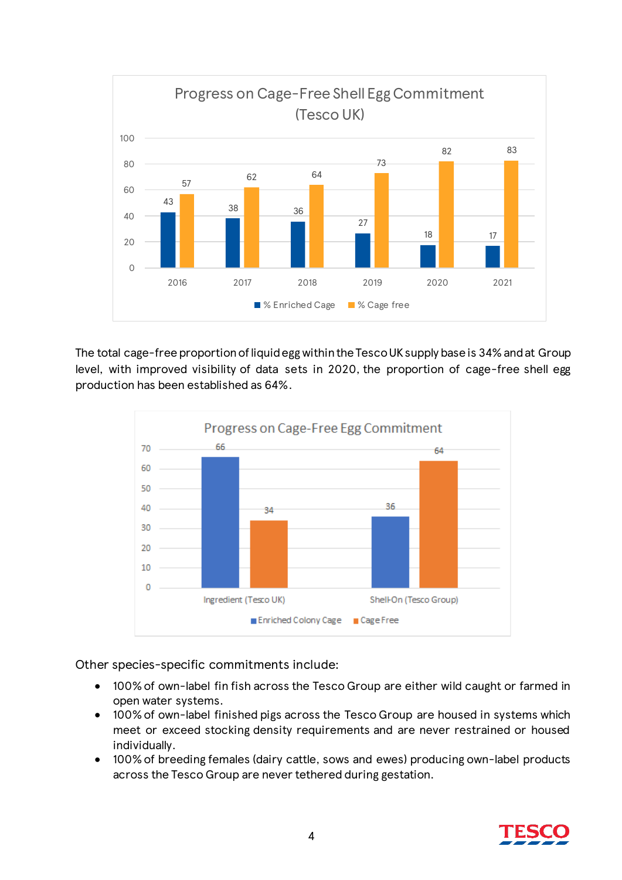

The total cage-free proportion of liquid egg within the Tesco UK supply base is 34% and at Group level, with improved visibility of data sets in 2020, the proportion of cage-free shell egg production has been established as 64%.



Other species-specific commitments include:

- 100% of own-label fin fish across the Tesco Group are either wild caught or farmed in open water systems.
- 100% of own-label finished pigs across the Tesco Group are housed in systems which meet or exceed stocking density requirements and are never restrained or housed individually.
- 100% of breeding females (dairy cattle, sows and ewes) producing own-label products across the Tesco Group are never tethered during gestation.

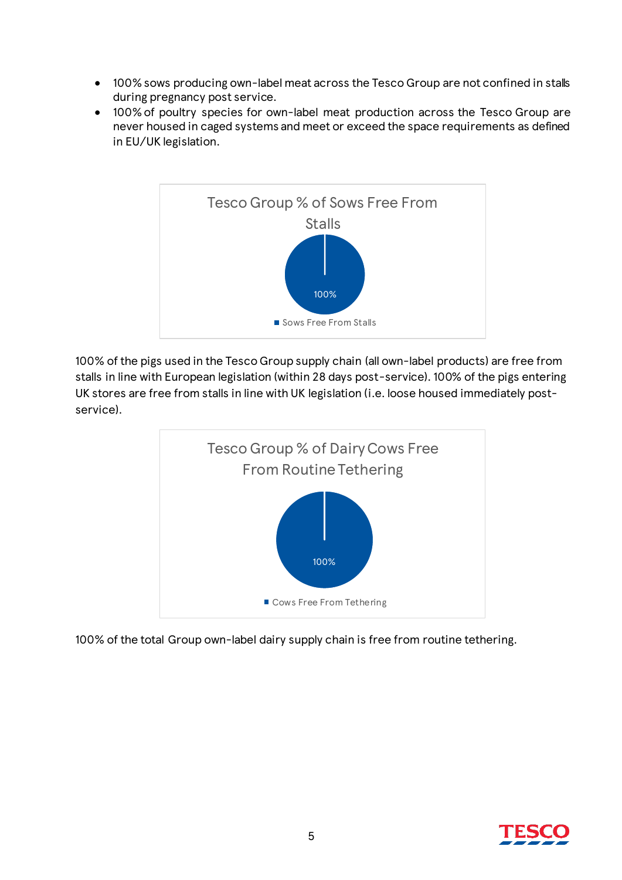- 100% sows producing own-label meat across the Tesco Group are not confined in stalls during pregnancy post service.
- 100% of poultry species for own-label meat production across the Tesco Group are never housed in caged systems and meet or exceed the space requirements as defined in EU/UK legislation.



100% of the pigs used in the Tesco Group supply chain (all own-label products) are free from stalls in line with European legislation (within 28 days post-service). 100% of the pigs entering UK stores are free from stalls in line with UK legislation (i.e. loose housed immediately postservice).



100% of the total Group own-label dairy supply chain is free from routine tethering.

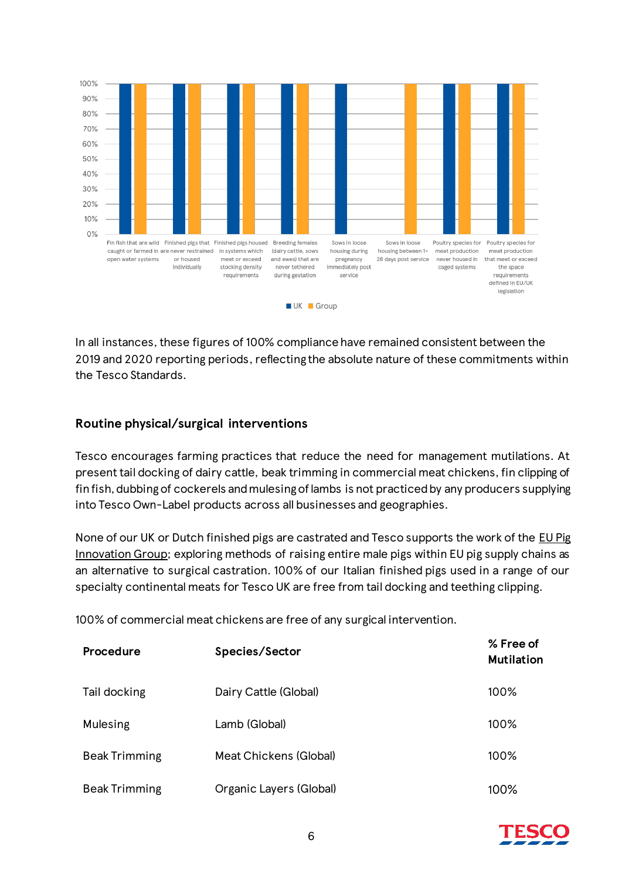

In all instances, these figures of 100% compliance have remained consistent between the 2019 and 2020 reporting periods, reflecting the absolute nature of these commitments within the Tesco Standards.

### **Routine physical/surgical interventions**

Tesco encourages farming practices that reduce the need for management mutilations. At present tail docking of dairy cattle, beak trimming in commercial meat chickens, fin clipping of fin fish, dubbing of cockerels and mulesing of lambs is not practiced by any producers supplying into Tesco Own-Label products across all businesses and geographies.

None of our UK or Dutch finished pigs are castrated and Tesco supports the work of the [EU Pig](https://www.eupig.eu/best-practice?tags=Castration%20Methods&_sm_au_=iVVNMW2ZL7QNNRrM)  [Innovation Group;](https://www.eupig.eu/best-practice?tags=Castration%20Methods&_sm_au_=iVVNMW2ZL7QNNRrM) exploring methods of raising entire male pigs within EU pig supply chains as an alternative to surgical castration. 100% of our Italian finished pigs used in a range of our specialty continental meats for Tesco UK are free from tail docking and teething clipping.

100% of commercial meat chickens are free of any surgical intervention.

| <b>Procedure</b>     | Species/Sector          | % Free of<br><b>Mutilation</b> |
|----------------------|-------------------------|--------------------------------|
| Tail docking         | Dairy Cattle (Global)   | 100%                           |
| Mulesing             | Lamb (Global)           | 100%                           |
| <b>Beak Trimming</b> | Meat Chickens (Global)  | 100%                           |
| <b>Beak Trimming</b> | Organic Layers (Global) | 100%                           |

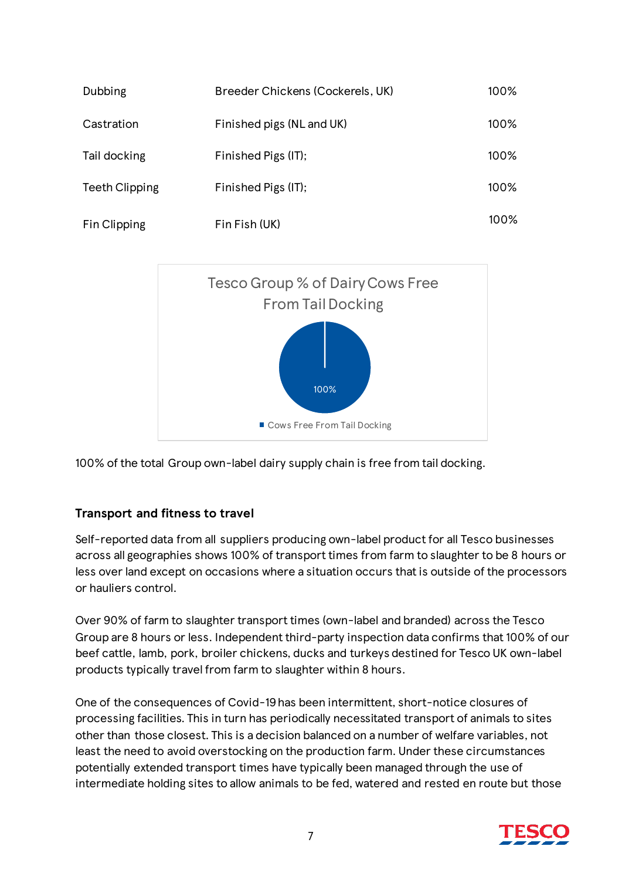| Dubbing               | Breeder Chickens (Cockerels, UK) | 100% |
|-----------------------|----------------------------------|------|
| Castration            | Finished pigs (NL and UK)        | 100% |
| Tail docking          | Finished Pigs (IT);              | 100% |
| <b>Teeth Clipping</b> | Finished Pigs (IT);              | 100% |
| Fin Clipping          | Fin Fish (UK)                    | 100% |



100% of the total Group own-label dairy supply chain is free from tail docking.

# **Transport and fitness to travel**

Self-reported data from all suppliers producing own-label product for all Tesco businesses across all geographies shows 100% of transport times from farm to slaughter to be 8 hours or less over land except on occasions where a situation occurs that is outside of the processors or hauliers control.

Over 90% of farm to slaughter transport times (own-label and branded) across the Tesco Group are 8 hours or less. Independent third-party inspection data confirms that 100% of our beef cattle, lamb, pork, broiler chickens, ducks and turkeys destined for Tesco UK own-label products typically travel from farm to slaughter within 8 hours.

One of the consequences of Covid-19 has been intermittent, short-notice closures of processing facilities. This in turn has periodically necessitated transport of animals to sites other than those closest. This is a decision balanced on a number of welfare variables, not least the need to avoid overstocking on the production farm. Under these circumstances potentially extended transport times have typically been managed through the use of intermediate holding sites to allow animals to be fed, watered and rested en route but those

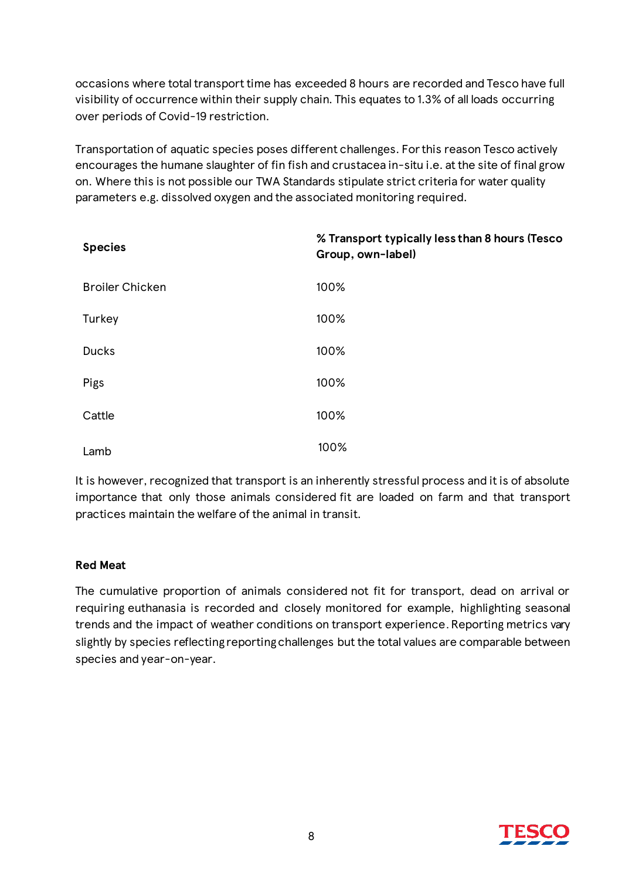occasions where total transport time has exceeded 8 hours are recorded and Tesco have full visibility of occurrence within their supply chain. This equates to 1.3% of all loads occurring over periods of Covid-19 restriction.

Transportation of aquatic species poses different challenges. For this reason Tesco actively encourages the humane slaughter of fin fish and crustacea in-situ i.e. at the site of final grow on. Where this is not possible our TWA Standards stipulate strict criteria for water quality parameters e.g. dissolved oxygen and the associated monitoring required.

| <b>Species</b>         | % Transport typically less than 8 hours (Tesco<br>Group, own-label) |
|------------------------|---------------------------------------------------------------------|
| <b>Broiler Chicken</b> | 100%                                                                |
| Turkey                 | 100%                                                                |
| <b>Ducks</b>           | 100%                                                                |
| Pigs                   | 100%                                                                |
| Cattle                 | 100%                                                                |
| Lamb                   | 100%                                                                |

It is however, recognized that transport is an inherently stressful process and it is of absolute importance that only those animals considered fit are loaded on farm and that transport practices maintain the welfare of the animal in transit.

#### **Red Meat**

The cumulative proportion of animals considered not fit for transport, dead on arrival or requiring euthanasia is recorded and closely monitored for example, highlighting seasonal trends and the impact of weather conditions on transport experience.Reporting metrics vary slightly by species reflecting reporting challenges but the total values are comparable between species and year-on-year.

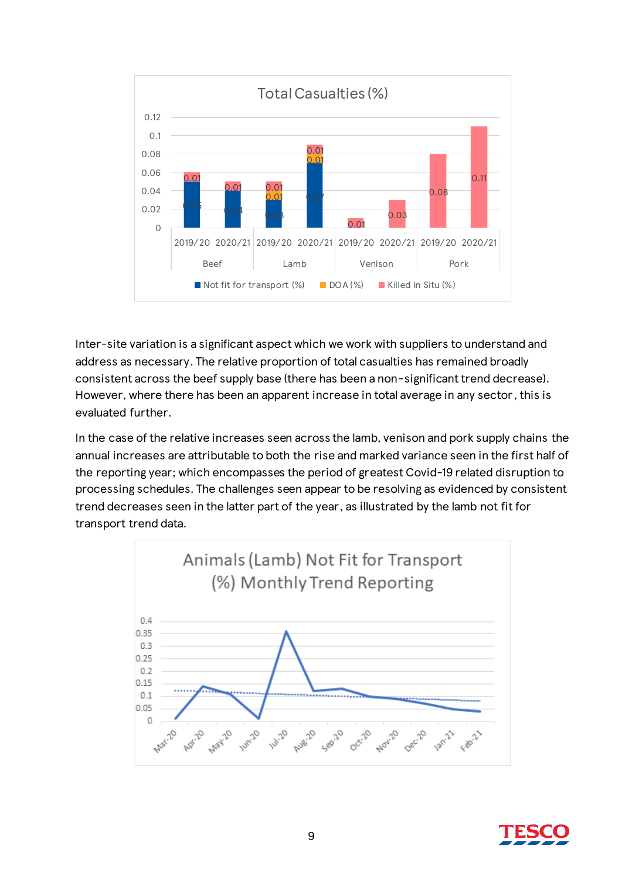

Inter-site variation is a significant aspect which we work with suppliers to understand and address as necessary. The relative proportion of total casualties has remained broadly consistent across the beef supply base (there has been a non-significant trend decrease). However, where there has been an apparent increase in total average in any sector , this is evaluated further.

In the case of the relative increases seen across the lamb, venison and pork supply chains the annual increases are attributable to both the rise and marked variance seen in the first half of the reporting year; which encompasses the period of greatest Covid-19 related disruption to processing schedules. The challenges seen appear to be resolving as evidenced by consistent trend decreases seen in the latter part of the year, as illustrated by the lamb not fit for transport trend data.



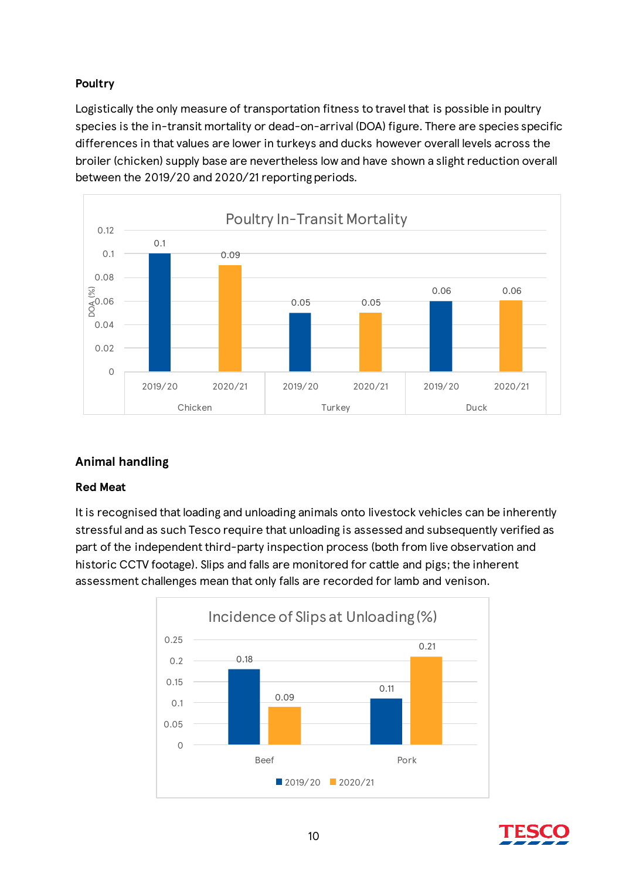# **Poultry**

Logistically the only measure of transportation fitness to travel that is possible in poultry species is the in-transit mortality or dead-on-arrival (DOA) figure. There are species specific differences in that values are lower in turkeys and ducks however overall levels across the broiler (chicken) supply base are nevertheless low and have shown a slight reduction overall between the 2019/20 and 2020/21 reporting periods.



# **Animal handling**

#### **Red Meat**

It is recognised that loading and unloading animals onto livestock vehicles can be inherently stressful and as such Tesco require that unloading is assessed and subsequently verified as part of the independent third-party inspection process (both from live observation and historic CCTV footage). Slips and falls are monitored for cattle and pigs; the inherent assessment challenges mean that only falls are recorded for lamb and venison.



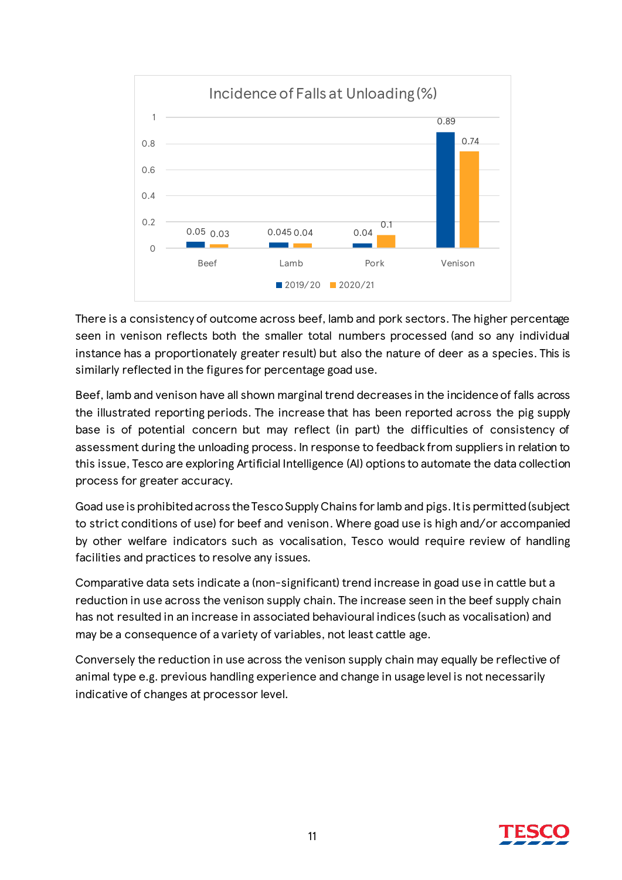

There is a consistency of outcome across beef, lamb and pork sectors. The higher percentage seen in venison reflects both the smaller total numbers processed (and so any individual instance has a proportionately greater result) but also the nature of deer as a species. This is similarly reflected in the figures for percentage goad use.

Beef, lamb and venison have all shown marginal trend decreases in the incidence of falls across the illustrated reporting periods. The increase that has been reported across the pig supply base is of potential concern but may reflect (in part) the difficulties of consistency of assessment during the unloading process. In response to feedback from suppliers in relation to this issue, Tesco are exploring Artificial Intelligence (AI) options to automate the data collection process for greater accuracy.

Goad use is prohibited across the Tesco Supply Chains for lamb and pigs. It is permitted (subject to strict conditions of use) for beef and venison. Where goad use is high and/or accompanied by other welfare indicators such as vocalisation, Tesco would require review of handling facilities and practices to resolve any issues.

Comparative data sets indicate a (non-significant) trend increase in goad use in cattle but a reduction in use across the venison supply chain. The increase seen in the beef supply chain has not resulted in an increase in associated behavioural indices (such as vocalisation) and may be a consequence of a variety of variables, not least cattle age.

Conversely the reduction in use across the venison supply chain may equally be reflective of animal type e.g. previous handling experience and change in usage level is not necessarily indicative of changes at processor level.

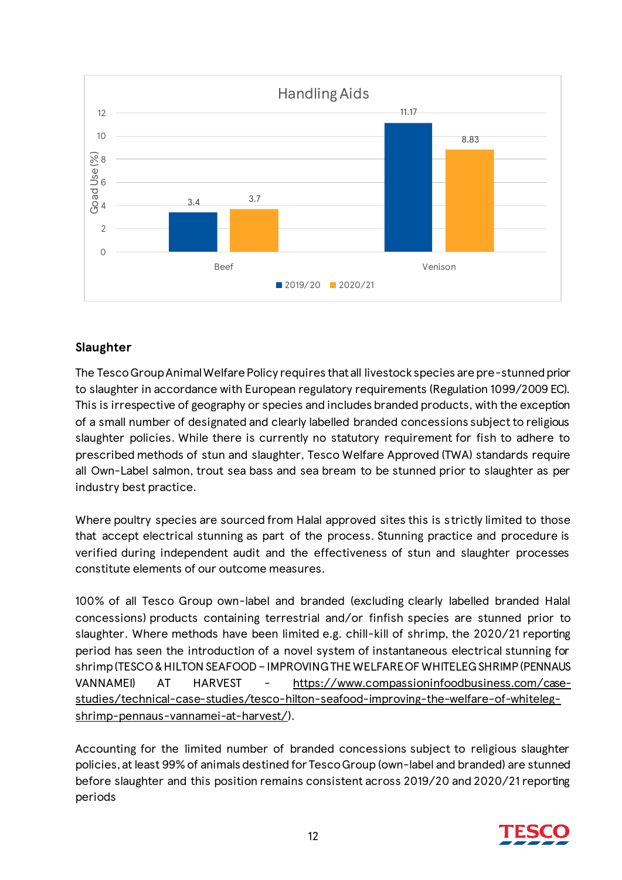

# **Slaughter**

The Tesco Group Animal Welfare Policy requires that all livestock species are pre-stunned prior to slaughter in accordance with European regulatory requirements (Regulation 1099/2009 EC). This is irrespective of geography or species and includes branded products, with the exception of a small number of designated and clearly labelled branded concessions subject to religious slaughter policies. While there is currently no statutory requirement for fish to adhere to prescribed methods of stun and slaughter, Tesco Welfare Approved (TWA) standards require all Own-Label salmon, trout sea bass and sea bream to be stunned prior to slaughter as per industry best practice.

Where poultry species are sourced from Halal approved sites this is strictly limited to those that accept electrical stunning as part of the process. Stunning practice and procedure is verified during independent audit and the effectiveness of stun and slaughter processes constitute elements of our outcome measures.

100% of all Tesco Group own-label and branded (excluding clearly labelled branded Halal concessions) products containing terrestrial and/or finfish species are stunned prior to slaughter. Where methods have been limited e.g. chill-kill of shrimp, the 2020/21 reporting period has seen the introduction of a novel system of instantaneous electrical stunning for shrimp (TESCO & HILTON SEAFOOD – IMPROVING THE WELFARE OF WHITELEG SHRIMP (PENNAUS VANNAMEI) AT HARVEST - [https://www.compassioninfoodbusiness.com/case](https://www.compassioninfoodbusiness.com/case-studies/technical-case-studies/tesco-hilton-seafood-improving-the-welfare-of-whiteleg-shrimp-pennaus-vannamei-at-harvest/)[studies/technical-case-studies/tesco-hilton-seafood-improving-the-welfare-of-whiteleg](https://www.compassioninfoodbusiness.com/case-studies/technical-case-studies/tesco-hilton-seafood-improving-the-welfare-of-whiteleg-shrimp-pennaus-vannamei-at-harvest/)[shrimp-pennaus-vannamei-at-harvest/](https://www.compassioninfoodbusiness.com/case-studies/technical-case-studies/tesco-hilton-seafood-improving-the-welfare-of-whiteleg-shrimp-pennaus-vannamei-at-harvest/)).

Accounting for the limited number of branded concessions subject to religious slaughter policies, at least 99% of animals destined for Tesco Group (own-label and branded) are stunned before slaughter and this position remains consistent across 2019/20 and 2020/21 reporting periods

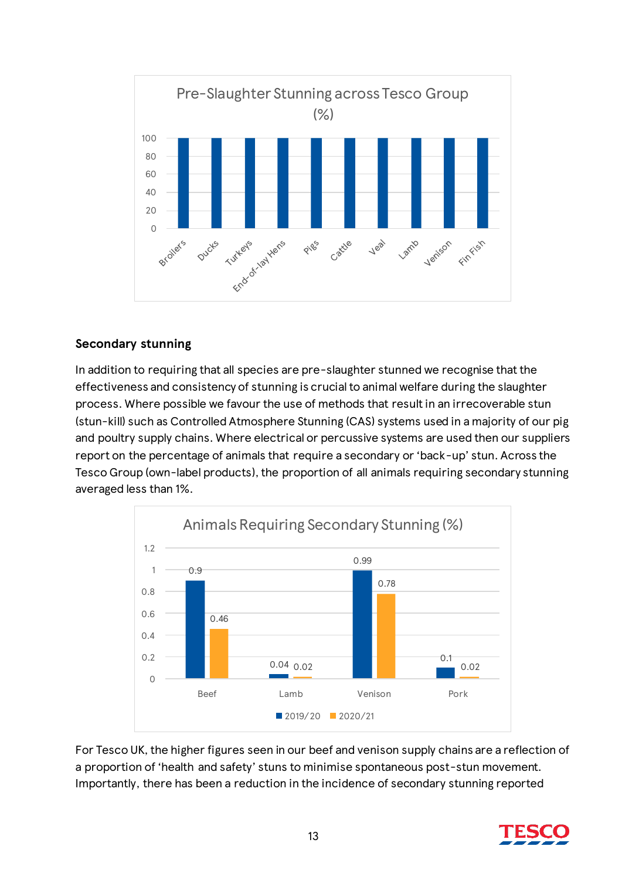

#### **Secondary stunning**

In addition to requiring that all species are pre-slaughter stunned we recognise that the effectiveness and consistency of stunning is crucial to animal welfare during the slaughter process. Where possible we favour the use of methods that result in an irrecoverable stun (stun-kill) such as Controlled Atmosphere Stunning (CAS) systems used in a majority of our pig and poultry supply chains. Where electrical or percussive systems are used then our suppliers report on the percentage of animals that require a secondary or 'back-up' stun. Across the Tesco Group (own-label products), the proportion of all animals requiring secondary stunning averaged less than 1%.



For Tesco UK, the higher figures seen in our beef and venison supply chains are a reflection of a proportion of 'health and safety' stuns to minimise spontaneous post-stun movement. Importantly, there has been a reduction in the incidence of secondary stunning reported

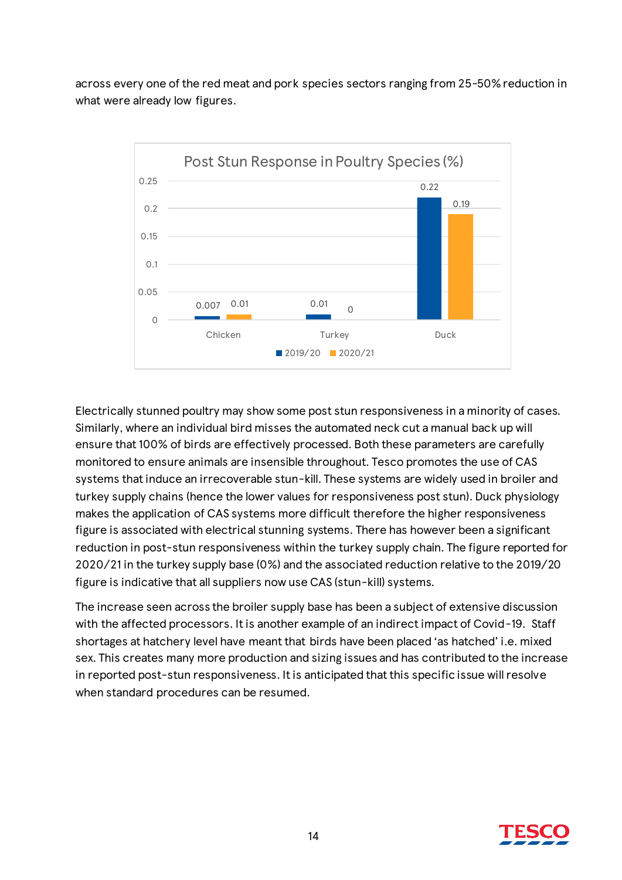across every one of the red meat and pork species sectors ranging from 25-50% reduction in what were already low figures.



Electrically stunned poultry may show some post stun responsiveness in a minority of cases. Similarly, where an individual bird misses the automated neck cut a manual back up will ensure that 100% of birds are effectively processed. Both these parameters are carefully monitored to ensure animals are insensible throughout. Tesco promotes the use of CAS systems that induce an irrecoverable stun-kill. These systems are widely used in broiler and turkey supply chains (hence the lower values for responsiveness post stun). Duck physiology makes the application of CAS systems more difficult therefore the higher responsiveness figure is associated with electrical stunning systems. There has however been a significant reduction in post-stun responsiveness within the turkey supply chain. The figure reported for 2020/21 in the turkey supply base (0%) and the associated reduction relative to the 2019/20 figure is indicative that all suppliers now use CAS (stun-kill) systems.

The increase seen across the broiler supply base has been a subject of extensive discussion with the affected processors. It is another example of an indirect impact of Covid-19. Staff shortages at hatchery level have meant that birds have been placed 'as hatched' i.e. mixed sex. This creates many more production and sizing issues and has contributed to the increase in reported post-stun responsiveness. It is anticipated that this specific issue will resolve when standard procedures can be resumed.

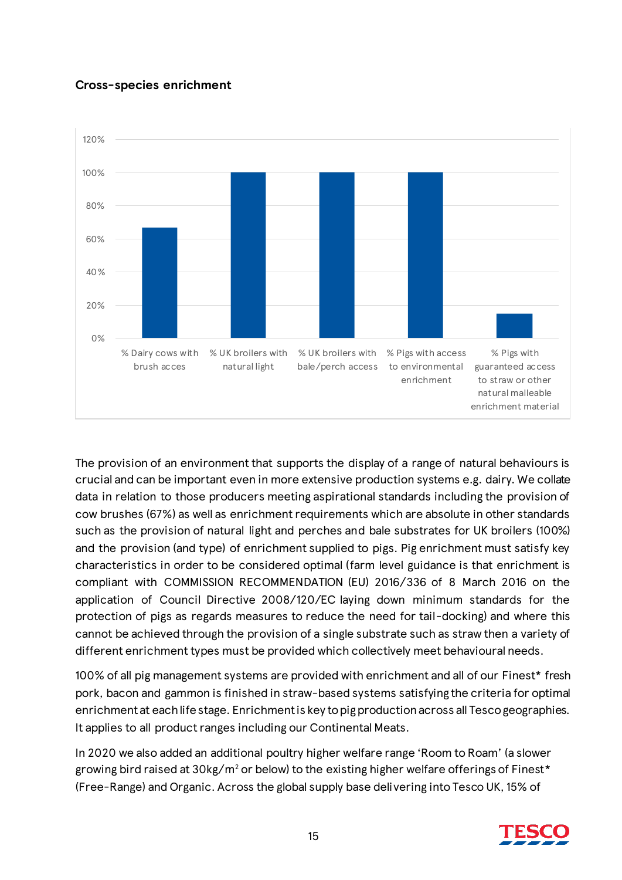# **Cross-species enrichment**



The provision of an environment that supports the display of a range of natural behaviours is crucial and can be important even in more extensive production systems e.g. dairy. We collate data in relation to those producers meeting aspirational standards including the provision of cow brushes (67%) as well as enrichment requirements which are absolute in other standards such as the provision of natural light and perches and bale substrates for UK broilers (100%) and the provision (and type) of enrichment supplied to pigs. Pig enrichment must satisfy key characteristics in order to be considered optimal (farm level guidance is that enrichment is compliant with COMMISSION RECOMMENDATION (EU) 2016/336 of 8 March 2016 on the application of Council Directive 2008/120/EC laying down minimum standards for the protection of pigs as regards measures to reduce the need for tail-docking) and where this cannot be achieved through the provision of a single substrate such as straw then a variety of different enrichment types must be provided which collectively meet behavioural needs.

100% of all pig management systems are provided with enrichment and all of our Finest\* fresh pork, bacon and gammon is finished in straw-based systems satisfying the criteria for optimal enrichment at each life stage. Enrichment is key to pig production across all Tesco geographies. It applies to all product ranges including our Continental Meats.

In 2020 we also added an additional poultry higher welfare range 'Room to Roam' (a slower growing bird raised at  $30\text{kg/m}^2$  or below) to the existing higher welfare offerings of Finest\* (Free-Range) and Organic. Across the global supply base delivering into Tesco UK, 15% of

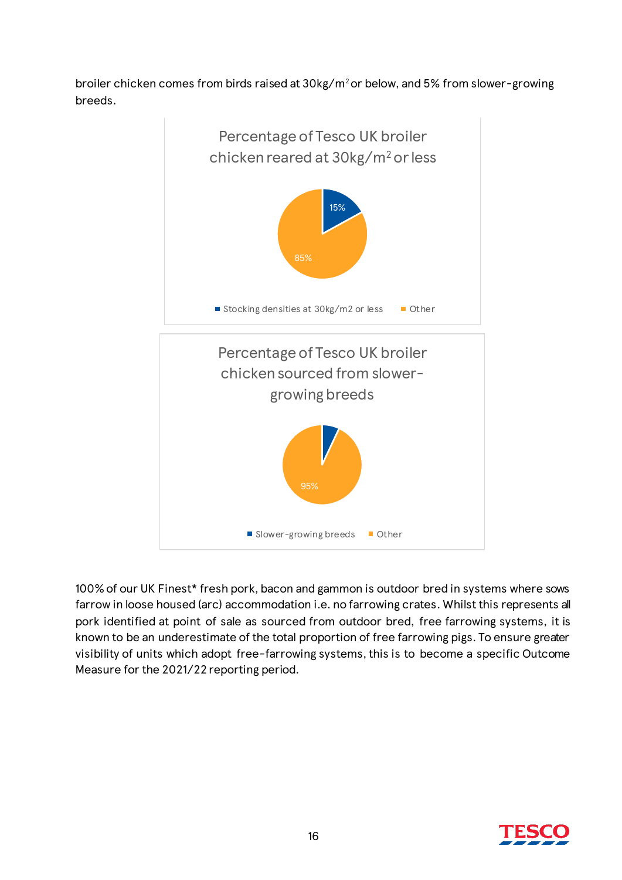broiler chicken comes from birds raised at 30kg/m<sup>2</sup>or below, and 5% from slower-growing breeds.



100% of our UK Finest\* fresh pork, bacon and gammon is outdoor bred in systems where sows farrow in loose housed (arc) accommodation i.e. no farrowing crates. Whilst this represents all pork identified at point of sale as sourced from outdoor bred, free farrowing systems, it is known to be an underestimate of the total proportion of free farrowing pigs. To ensure greater visibility of units which adopt free-farrowing systems, this is to become a specific Outcome Measure for the 2021/22 reporting period.

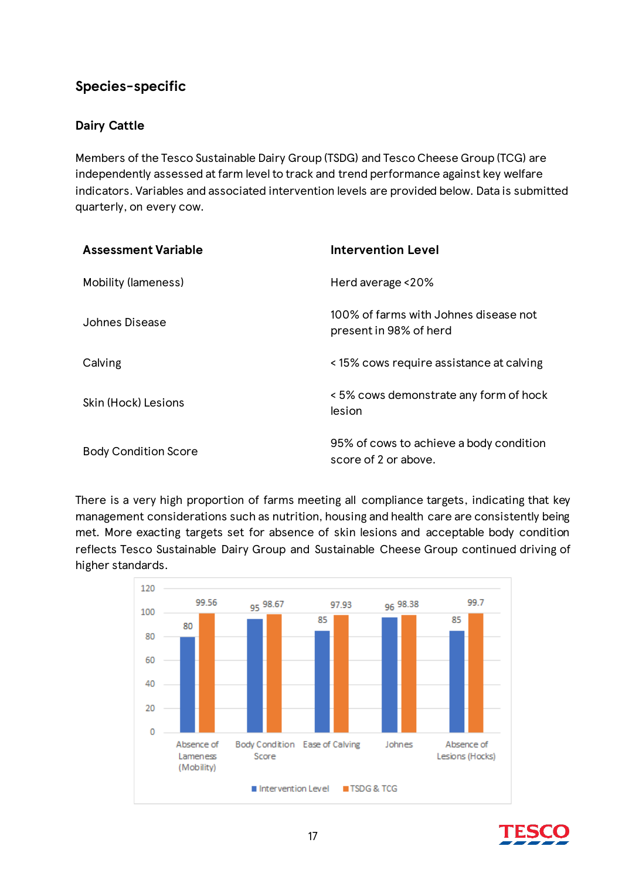# **Species-specific**

# **Dairy Cattle**

Members of the Tesco Sustainable Dairy Group (TSDG) and Tesco Cheese Group (TCG) are independently assessed at farm level to track and trend performance against key welfare indicators. Variables and associated intervention levels are provided below. Data is submitted quarterly, on every cow.

| <b>Assessment Variable</b>  | <b>Intervention Level</b>                                       |
|-----------------------------|-----------------------------------------------------------------|
| <b>Mobility (lameness)</b>  | Herd average <20%                                               |
| Johnes Disease              | 100% of farms with Johnes disease not<br>present in 98% of herd |
| Calving                     | <15% cows require assistance at calving                         |
| Skin (Hock) Lesions         | < 5% cows demonstrate any form of hock<br>lesion                |
| <b>Body Condition Score</b> | 95% of cows to achieve a body condition<br>score of 2 or above. |

There is a very high proportion of farms meeting all compliance targets, indicating that key management considerations such as nutrition, housing and health care are consistently being met. More exacting targets set for absence of skin lesions and acceptable body condition reflects Tesco Sustainable Dairy Group and Sustainable Cheese Group continued driving of higher standards.



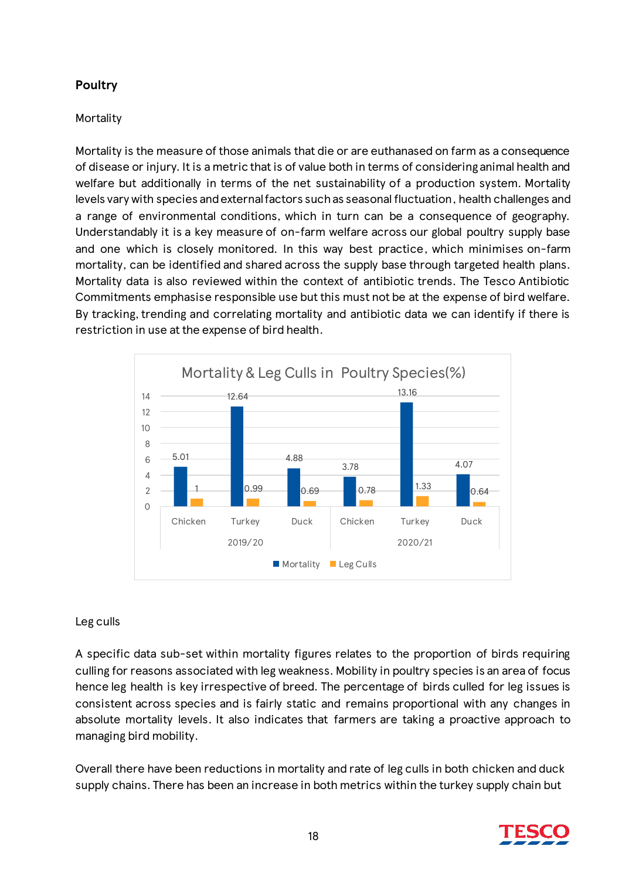# **Poultry**

### **Mortality**

Mortality is the measure of those animals that die or are euthanased on farm as a consequence of disease or injury. It is a metric that is of value both in terms of considering animal health and welfare but additionally in terms of the net sustainability of a production system. Mortality levels vary with species and external factors such as seasonal fluctuation, health challenges and a range of environmental conditions, which in turn can be a consequence of geography. Understandably it is a key measure of on-farm welfare across our global poultry supply base and one which is closely monitored. In this way best practice, which minimises on-farm mortality, can be identified and shared across the supply base through targeted health plans. Mortality data is also reviewed within the context of antibiotic trends. The Tesco Antibiotic Commitments emphasise responsible use but this must not be at the expense of bird welfare. By tracking, trending and correlating mortality and antibiotic data we can identify if there is restriction in use at the expense of bird health.



### Leg culls

A specific data sub-set within mortality figures relates to the proportion of birds requiring culling for reasons associated with leg weakness. Mobility in poultry species is an area of focus hence leg health is key irrespective of breed. The percentage of birds culled for leg issues is consistent across species and is fairly static and remains proportional with any changes in absolute mortality levels. It also indicates that farmers are taking a proactive approach to managing bird mobility.

Overall there have been reductions in mortality and rate of leg culls in both chicken and duck supply chains. There has been an increase in both metrics within the turkey supply chain but

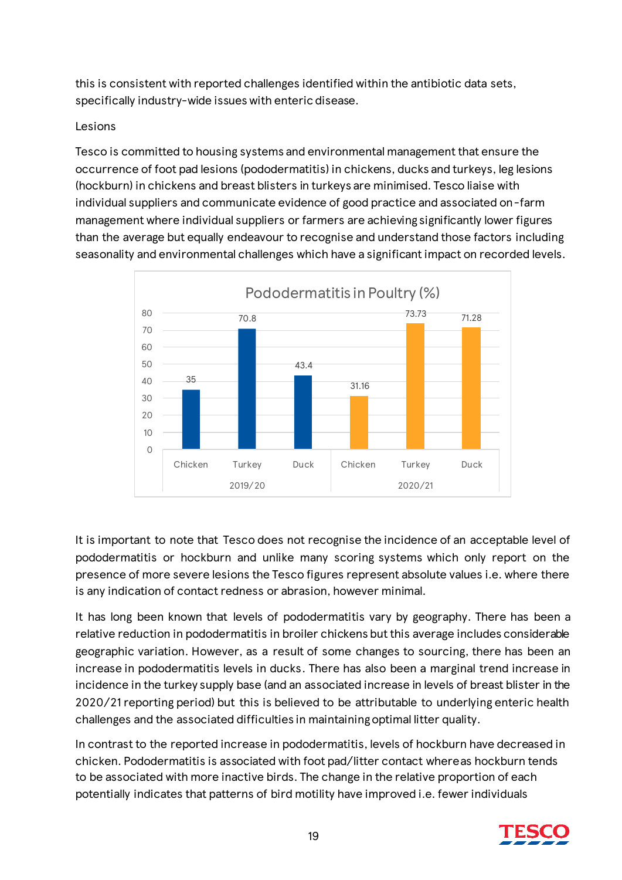this is consistent with reported challenges identified within the antibiotic data sets, specifically industry-wide issues with enteric disease.

#### Lesions

Tesco is committed to housing systems and environmental management that ensure the occurrence of foot pad lesions (pododermatitis) in chickens, ducks and turkeys, leg lesions (hockburn) in chickens and breast blisters in turkeys are minimised. Tesco liaise with individual suppliers and communicate evidence of good practice and associated on-farm management where individual suppliers or farmers are achieving significantly lower figures than the average but equally endeavour to recognise and understand those factors including seasonality and environmental challenges which have a significant impact on recorded levels.



It is important to note that Tesco does not recognise the incidence of an acceptable level of pododermatitis or hockburn and unlike many scoring systems which only report on the presence of more severe lesions the Tesco figures represent absolute values i.e. where there is any indication of contact redness or abrasion, however minimal.

It has long been known that levels of pododermatitis vary by geography. There has been a relative reduction in pododermatitis in broiler chickens but this average includes considerable geographic variation. However, as a result of some changes to sourcing, there has been an increase in pododermatitis levels in ducks. There has also been a marginal trend increase in incidence in the turkey supply base (and an associated increase in levels of breast blister in the 2020/21 reporting period) but this is believed to be attributable to underlying enteric health challenges and the associated difficulties in maintaining optimal litter quality.

In contrast to the reported increase in pododermatitis, levels of hockburn have decreased in chicken. Pododermatitis is associated with foot pad/litter contact whereas hockburn tends to be associated with more inactive birds. The change in the relative proportion of each potentially indicates that patterns of bird motility have improved i.e. fewer individuals

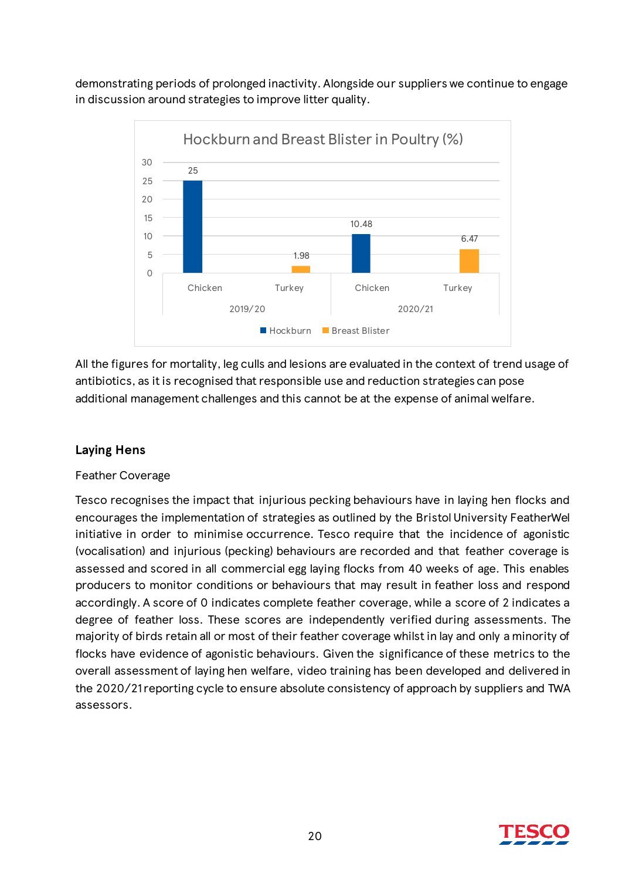demonstrating periods of prolonged inactivity. Alongside our suppliers we continue to engage in discussion around strategies to improve litter quality.



All the figures for mortality, leg culls and lesions are evaluated in the context of trend usage of antibiotics, as it is recognised that responsible use and reduction strategies can pose additional management challenges and this cannot be at the expense of animal welfare.

# **Laying Hens**

#### Feather Coverage

Tesco recognises the impact that injurious pecking behaviours have in laying hen flocks and encourages the implementation of strategies as outlined by the Bristol University FeatherWel initiative in order to minimise occurrence. Tesco require that the incidence of agonistic (vocalisation) and injurious (pecking) behaviours are recorded and that feather coverage is assessed and scored in all commercial egg laying flocks from 40 weeks of age. This enables producers to monitor conditions or behaviours that may result in feather loss and respond accordingly. A score of 0 indicates complete feather coverage, while a score of 2 indicates a degree of feather loss. These scores are independently verified during assessments. The majority of birds retain all or most of their feather coverage whilst in lay and only a minority of flocks have evidence of agonistic behaviours. Given the significance of these metrics to the overall assessment of laying hen welfare, video training has been developed and delivered in the 2020/21 reporting cycle to ensure absolute consistency of approach by suppliers and TWA assessors.

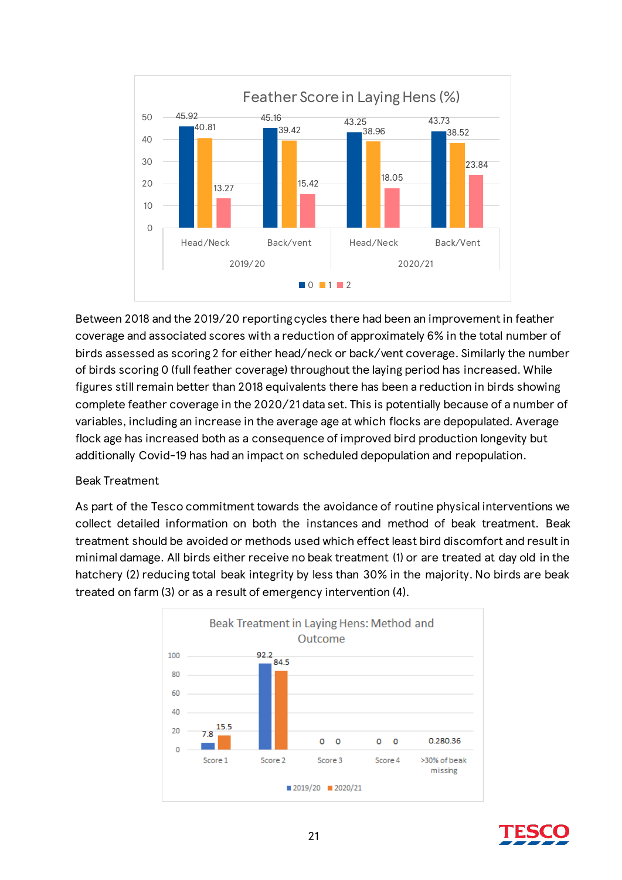

Between 2018 and the 2019/20 reporting cycles there had been an improvement in feather coverage and associated scores with a reduction of approximately 6% in the total number of birds assessed as scoring 2 for either head/neck or back/vent coverage. Similarly the number of birds scoring 0 (full feather coverage) throughout the laying period has increased. While figures still remain better than 2018 equivalents there has been a reduction in birds showing complete feather coverage in the 2020/21 data set. This is potentially because of a number of variables, including an increase in the average age at which flocks are depopulated. Average flock age has increased both as a consequence of improved bird production longevity but additionally Covid-19 has had an impact on scheduled depopulation and repopulation.

#### Beak Treatment

As part of the Tesco commitment towards the avoidance of routine physical interventions we collect detailed information on both the instances and method of beak treatment. Beak treatment should be avoided or methods used which effect least bird discomfort and result in minimal damage. All birds either receive no beak treatment (1) or are treated at day old in the hatchery (2) reducing total beak integrity by less than 30% in the majority. No birds are beak treated on farm (3) or as a result of emergency intervention (4).



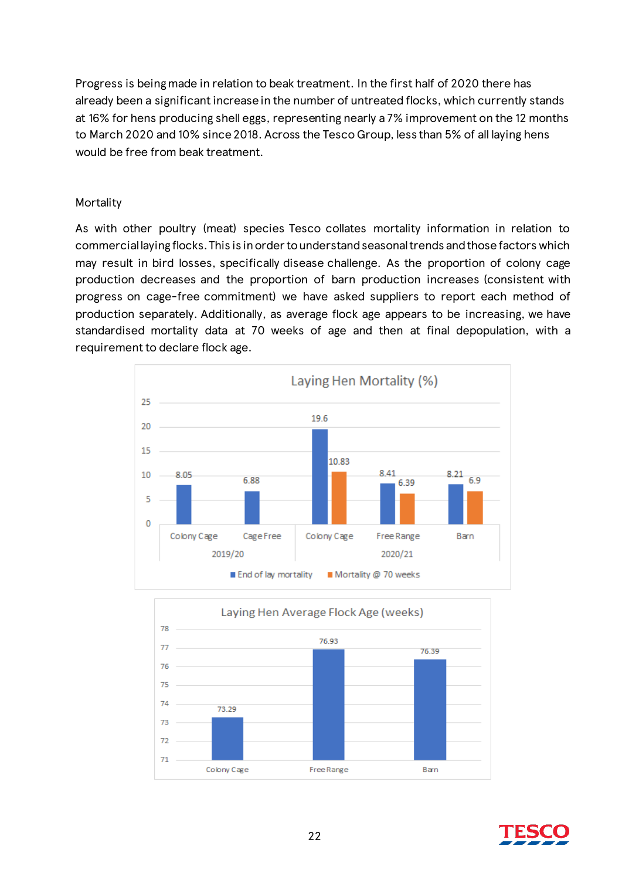Progress is being made in relation to beak treatment. In the first half of 2020 there has already been a significant increase in the number of untreated flocks, which currently stands at 16% for hens producing shell eggs, representing nearly a 7% improvement on the 12 months to March 2020 and 10% since 2018. Across the Tesco Group, less than 5% of all laying hens would be free from beak treatment.

#### **Mortality**

As with other poultry (meat) species Tesco collates mortality information in relation to commercial laying flocks. This is in order to understand seasonal trends and those factors which may result in bird losses, specifically disease challenge. As the proportion of colony cage production decreases and the proportion of barn production increases (consistent with progress on cage-free commitment) we have asked suppliers to report each method of production separately. Additionally, as average flock age appears to be increasing, we have standardised mortality data at 70 weeks of age and then at final depopulation, with a requirement to declare flock age.





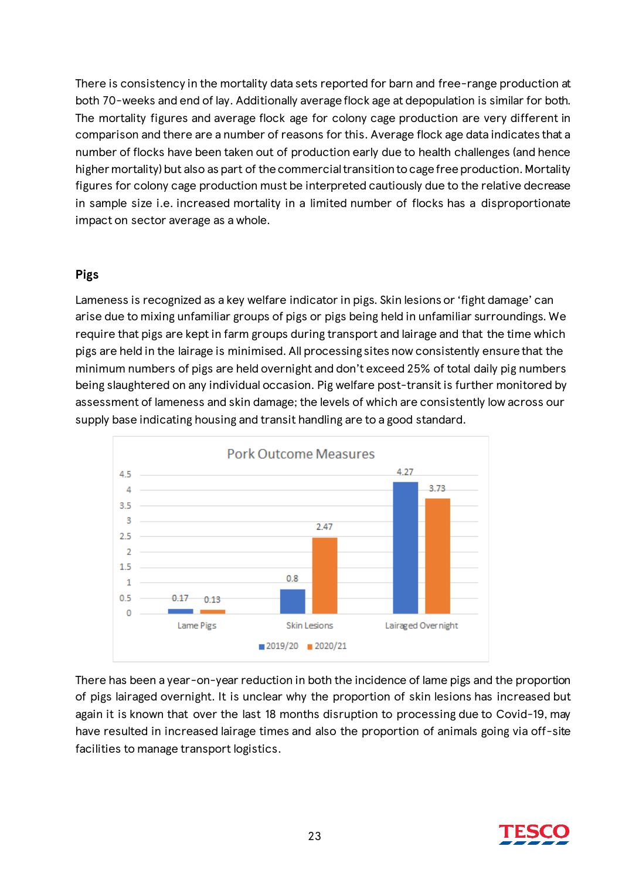There is consistency in the mortality data sets reported for barn and free-range production at both 70-weeks and end of lay. Additionally average flock age at depopulation is similar for both. The mortality figures and average flock age for colony cage production are very different in comparison and there are a number of reasons for this. Average flock age data indicates that a number of flocks have been taken out of production early due to health challenges (and hence higher mortality) but also as part of the commercial transition to cage free production. Mortality figures for colony cage production must be interpreted cautiously due to the relative decrease in sample size i.e. increased mortality in a limited number of flocks has a disproportionate impact on sector average as a whole.

#### **Pigs**

Lameness is recognized as a key welfare indicator in pigs. Skin lesions or 'fight damage' can arise due to mixing unfamiliar groups of pigs or pigs being held in unfamiliar surroundings. We require that pigs are kept in farm groups during transport and lairage and that the time which pigs are held in the lairage is minimised. All processing sites now consistently ensure that the minimum numbers of pigs are held overnight and don't exceed 25% of total daily pig numbers being slaughtered on any individual occasion. Pig welfare post-transit is further monitored by assessment of lameness and skin damage; the levels of which are consistently low across our supply base indicating housing and transit handling are to a good standard.



There has been a year-on-year reduction in both the incidence of lame pigs and the proportion of pigs lairaged overnight. It is unclear why the proportion of skin lesions has increased but again it is known that over the last 18 months disruption to processing due to Covid-19, may have resulted in increased lairage times and also the proportion of animals going via off-site facilities to manage transport logistics.

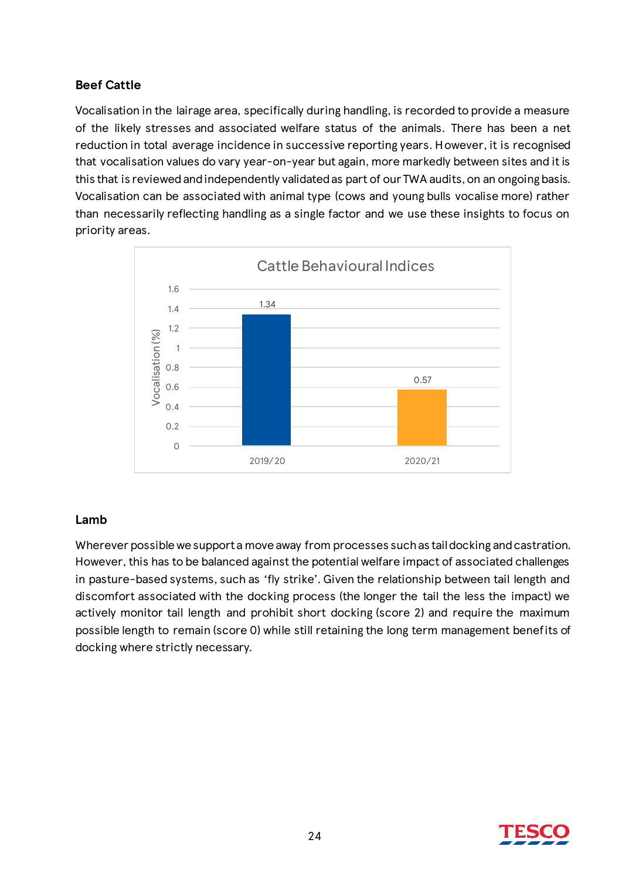# **Beef Cattle**

Vocalisation in the lairage area, specifically during handling, is recorded to provide a measure of the likely stresses and associated welfare status of the animals. There has been a net reduction in total average incidence in successive reporting years. However, it is recognised that vocalisation values do vary year-on-year but again, more markedly between sites and it is this that is reviewed and independently validated as part of our TWA audits, on an ongoing basis. Vocalisation can be associated with animal type (cows and young bulls vocalise more) rather than necessarily reflecting handling as a single factor and we use these insights to focus on priority areas.



#### **Lamb**

Wherever possible we support a move away from processes such as tail docking and castration. However, this has to be balanced against the potential welfare impact of associated challenges in pasture-based systems, such as 'fly strike'. Given the relationship between tail length and discomfort associated with the docking process (the longer the tail the less the impact) we actively monitor tail length and prohibit short docking (score 2) and require the maximum possible length to remain (score 0) while still retaining the long term management benefits of docking where strictly necessary.

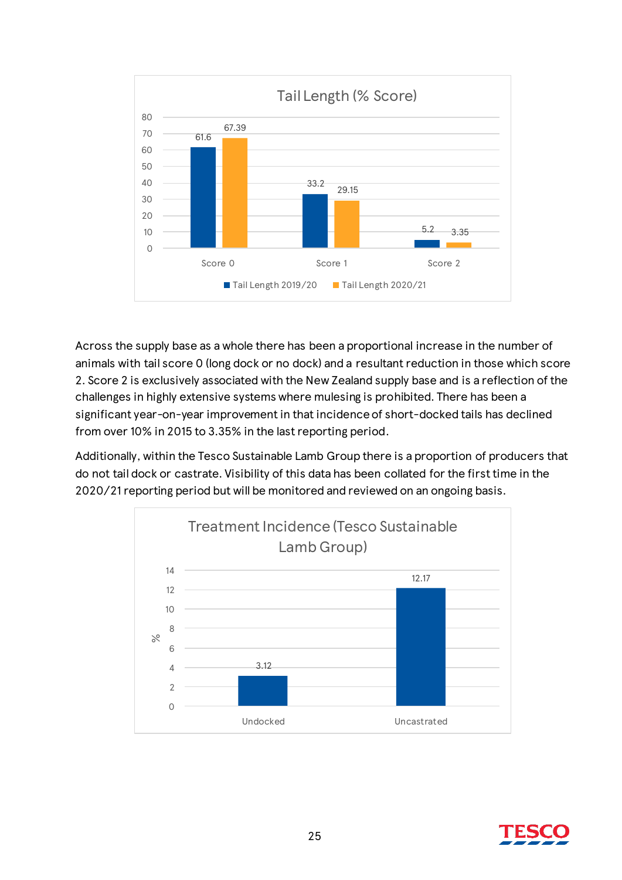

Across the supply base as a whole there has been a proportional increase in the number of animals with tail score 0 (long dock or no dock) and a resultant reduction in those which score 2. Score 2 is exclusively associated with the New Zealand supply base and is a reflection of the challenges in highly extensive systems where mulesing is prohibited. There has been a significant year-on-year improvement in that incidence of short-docked tails has declined from over 10% in 2015 to 3.35% in the last reporting period.

Additionally, within the Tesco Sustainable Lamb Group there is a proportion of producers that do not tail dock or castrate. Visibility of this data has been collated for the first time in the 2020/21 reporting period but will be monitored and reviewed on an ongoing basis.



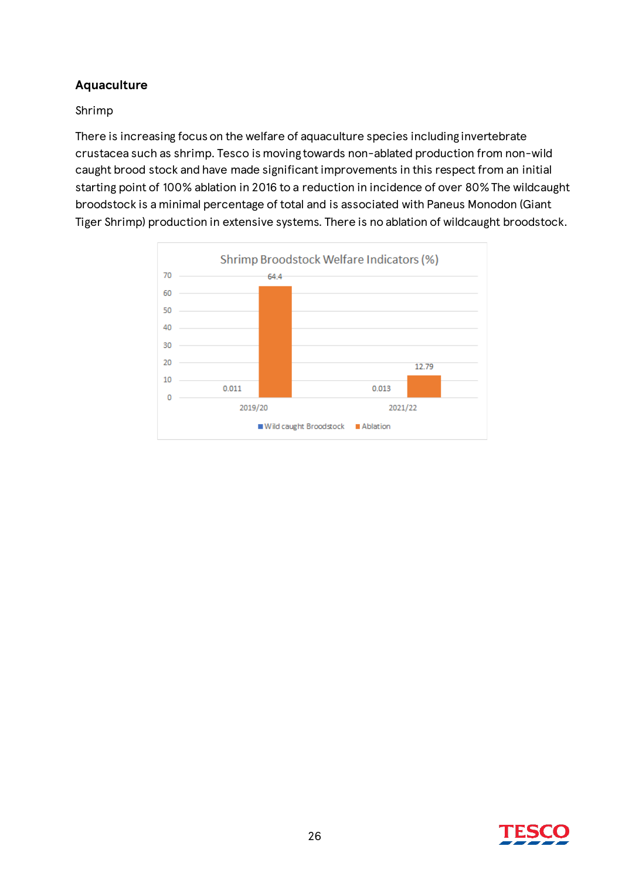# **Aquaculture**

### Shrimp

There is increasing focus on the welfare of aquaculture species including invertebrate crustacea such as shrimp. Tesco is moving towards non-ablated production from non-wild caught brood stock and have made significant improvements in this respect from an initial starting point of 100% ablation in 2016 to a reduction in incidence of over 80% The wildcaught broodstock is a minimal percentage of total and is associated with Paneus Monodon (Giant Tiger Shrimp) production in extensive systems. There is no ablation of wildcaught broodstock.



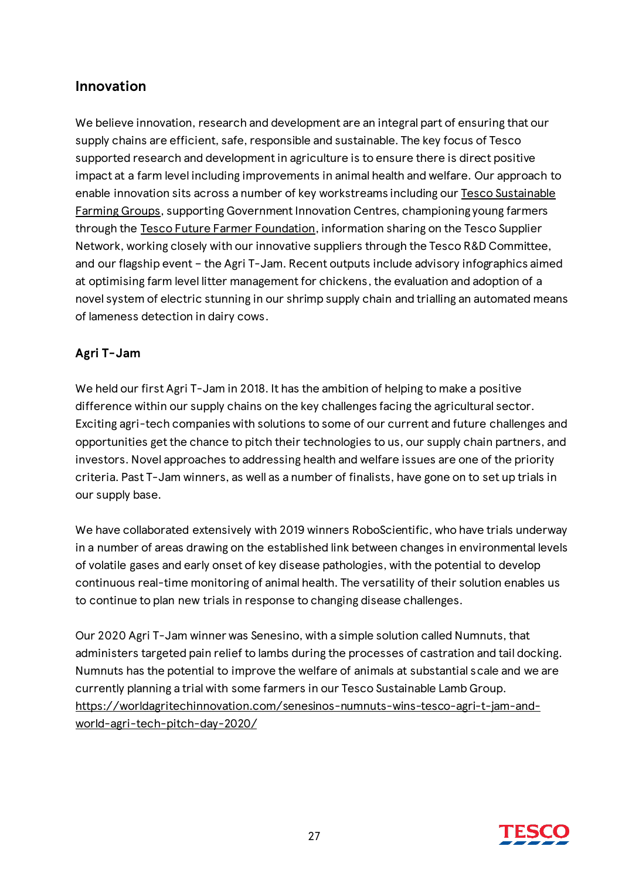# **Innovation**

We believe innovation, research and development are an integral part of ensuring that our supply chains are efficient, safe, responsible and sustainable. The key focus of Tesco supported research and development in agriculture is to ensure there is direct positive impact at a farm level including improvements in animal health and welfare. Our approach to enable innovation sits across a number of key workstreams including our [Tesco Sustainable](https://www.tescoplc.com/sustainability/planet/agriculture/supporting-farmers/sustainable-farming-groups/)  [Farming Groups,](https://www.tescoplc.com/sustainability/planet/agriculture/supporting-farmers/sustainable-farming-groups/) supporting Government Innovation Centres, championing young farmers through the [Tesco Future Farmer Foundation](https://www.tescoplc.com/sustainability/sourcing/topics/farming/future-farmer-foundation/), information sharing on the Tesco Supplier Network, working closely with our innovative suppliers through the Tesco R&D Committee, and our flagship event – the Agri T-Jam. Recent outputs include advisory infographics aimed at optimising farm level litter management for chickens, the evaluation and adoption of a novel system of electric stunning in our shrimp supply chain and trialling an automated means of lameness detection in dairy cows.

# **Agri T-Jam**

We held our first Agri T-Jam in 2018. It has the ambition of helping to make a positive difference within our supply chains on the key challenges facing the agricultural sector. Exciting agri-tech companies with solutions to some of our current and future challenges and opportunities get the chance to pitch their technologies to us, our supply chain partners, and investors. Novel approaches to addressing health and welfare issues are one of the priority criteria. Past T-Jam winners, as well as a number of finalists, have gone on to set up trials in our supply base.

We have collaborated extensively with 2019 winners RoboScientific, who have trials underway in a number of areas drawing on the established link between changes in environmental levels of volatile gases and early onset of key disease pathologies, with the potential to develop continuous real-time monitoring of animal health. The versatility of their solution enables us to continue to plan new trials in response to changing disease challenges.

Our 2020 Agri T-Jam winner was Senesino, with a simple solution called Numnuts, that administers targeted pain relief to lambs during the processes of castration and tail docking. Numnuts has the potential to improve the welfare of animals at substantial scale and we are currently planning a trial with some farmers in our Tesco Sustainable Lamb Group. [https://worldagritechinnovation.com/senesinos-numnuts-wins-tesco-agri-t-jam-and](https://worldagritechinnovation.com/senesinos-numnuts-wins-tesco-agri-t-jam-and-world-agri-tech-pitch-day-2020/)[world-agri-tech-pitch-day-2020/](https://worldagritechinnovation.com/senesinos-numnuts-wins-tesco-agri-t-jam-and-world-agri-tech-pitch-day-2020/)

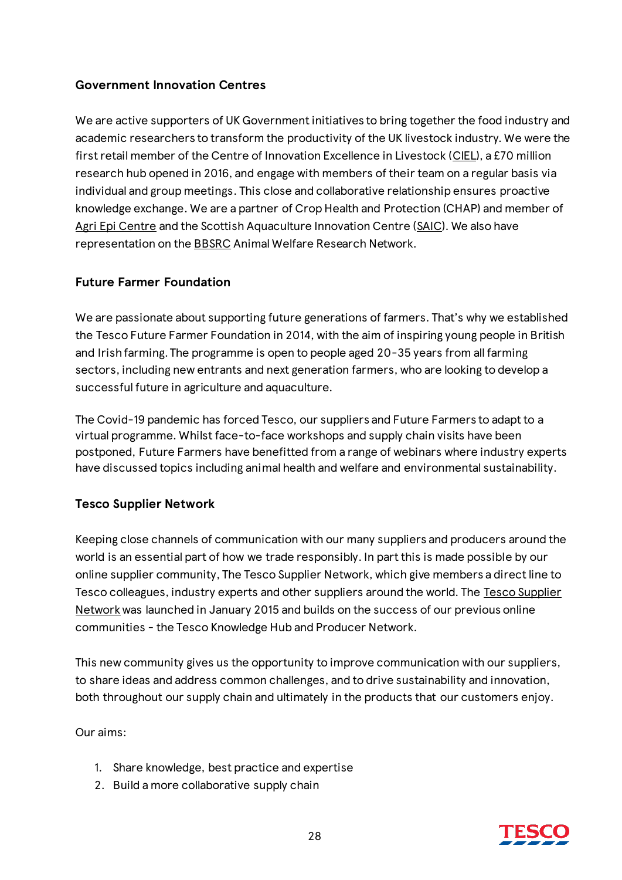# **Government Innovation Centres**

We are active supporters of UK Government initiatives to bring together the food industry and academic researchers to transform the productivity of the UK livestock industry. We were the first retail member of the Centre of Innovation Excellence in Livestock [\(CIEL](https://www.cielivestock.co.uk/)), a £70 million research hub opened in 2016, and engage with members of their team on a regular basis via individual and group meetings. This close and collaborative relationship ensures proactive knowledge exchange. We are a partner of Crop Health and Protection (CHAP) and member of [Agri Epi Centre](https://agri-epicentre.com/) and the Scottish Aquaculture Innovation Centre [\(SAIC](http://scottishaquaculture.com/)). We also have representation on th[e BBSRC](https://bbsrc.ukri.org/) Animal Welfare Research Network.

### **Future Farmer Foundation**

We are passionate about supporting future generations of farmers. That's why we established the Tesco Future Farmer Foundation in 2014, with the aim of inspiring young people in British and Irish farming. The programme is open to people aged 20-35 years from all farming sectors, including new entrants and next generation farmers, who are looking to develop a successful future in agriculture and aquaculture.

The Covid-19 pandemic has forced Tesco, our suppliers and Future Farmers to adapt to a virtual programme. Whilst face-to-face workshops and supply chain visits have been postponed, Future Farmers have benefitted from a range of webinars where industry experts have discussed topics including animal health and welfare and environmental sustainability.

### **Tesco Supplier Network**

Keeping close channels of communication with our many suppliers and producers around the world is an essential part of how we trade responsibly. In part this is made possible by our online supplier community, The Tesco Supplier Network, which give members a direct line to Tesco colleagues, industry experts and other suppliers around the world. The [Tesco Supplier](https://www.tescosuppliernetwork.com/login/index.php)  [Network](https://www.tescosuppliernetwork.com/login/index.php) was launched in January 2015 and builds on the success of our previous online communities - the Tesco Knowledge Hub and Producer Network.

This new community gives us the opportunity to improve communication with our suppliers, to share ideas and address common challenges, and to drive sustainability and innovation, both throughout our supply chain and ultimately in the products that our customers enjoy.

Our aims:

- 1. Share knowledge, best practice and expertise
- 2. Build a more collaborative supply chain

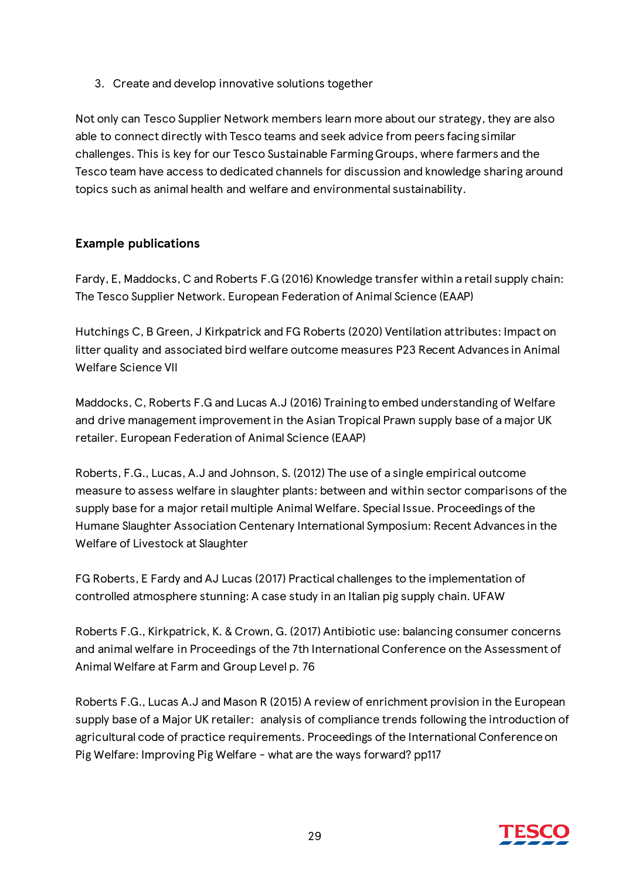3. Create and develop innovative solutions together

Not only can Tesco Supplier Network members learn more about our strategy, they are also able to connect directly with Tesco teams and seek advice from peers facing similar challenges. This is key for our Tesco Sustainable Farming Groups, where farmers and the Tesco team have access to dedicated channels for discussion and knowledge sharing around topics such as animal health and welfare and environmental sustainability.

# **Example publications**

Fardy, E, Maddocks, C and Roberts F.G (2016) Knowledge transfer within a retail supply chain: The Tesco Supplier Network. European Federation of Animal Science (EAAP)

Hutchings C, B Green, J Kirkpatrick and FG Roberts (2020) Ventilation attributes: Impact on litter quality and associated bird welfare outcome measures P23 Recent Advances in Animal Welfare Science VII

Maddocks, C, Roberts F.G and Lucas A.J (2016) Training to embed understanding of Welfare and drive management improvement in the Asian Tropical Prawn supply base of a major UK retailer. European Federation of Animal Science (EAAP)

Roberts, F.G., Lucas, A.J and Johnson, S. (2012) The use of a single empirical outcome measure to assess welfare in slaughter plants: between and within sector comparisons of the supply base for a major retail multiple Animal Welfare. Special Issue. Proceedings of the Humane Slaughter Association Centenary International Symposium: Recent Advances in the Welfare of Livestock at Slaughter

FG Roberts, E Fardy and AJ Lucas (2017) Practical challenges to the implementation of controlled atmosphere stunning: A case study in an Italian pig supply chain. UFAW

Roberts F.G., Kirkpatrick, K. & Crown, G. (2017) Antibiotic use: balancing consumer concerns and animal welfare in Proceedings of the 7th International Conference on the Assessment of Animal Welfare at Farm and Group Level p. 76

Roberts F.G., Lucas A.J and Mason R (2015) A review of enrichment provision in the European supply base of a Major UK retailer: analysis of compliance trends following the introduction of agricultural code of practice requirements. Proceedings of the International Conference on Pig Welfare: Improving Pig Welfare - what are the ways forward? pp117

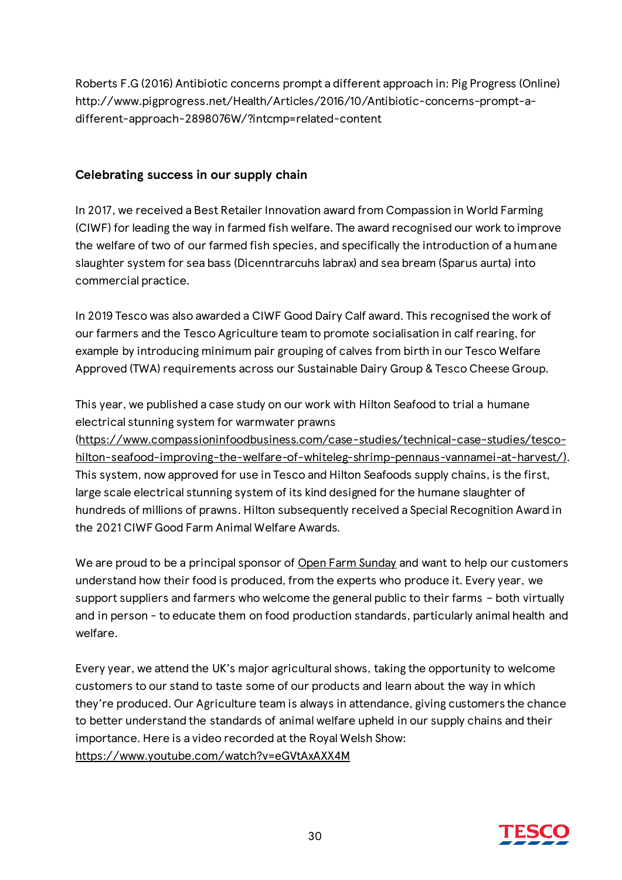Roberts F.G (2016) Antibiotic concerns prompt a different approach in: Pig Progress (Online) http://www.pigprogress.net/Health/Articles/2016/10/Antibiotic-concerns-prompt-adifferent-approach-2898076W/?intcmp=related-content

# **Celebrating success in our supply chain**

In 2017, we received a Best Retailer Innovation award from Compassion in World Farming (CIWF) for leading the way in farmed fish welfare. The award recognised our work to improve the welfare of two of our farmed fish species, and specifically the introduction of a humane slaughter system for sea bass (Dicenntrarcuhs labrax) and sea bream (Sparus aurta) into commercial practice.

In 2019 Tesco was also awarded a CIWF Good Dairy Calf award. This recognised the work of our farmers and the Tesco Agriculture team to promote socialisation in calf rearing, for example by introducing minimum pair grouping of calves from birth in our Tesco Welfare Approved (TWA) requirements across our Sustainable Dairy Group & Tesco Cheese Group.

This year, we published a case study on our work with Hilton Seafood to trial a humane electrical stunning system for warmwater prawns [\(https://www.compassioninfoodbusiness.com/case-studies/technical-case-studies/tesco](https://www.compassioninfoodbusiness.com/case-studies/technical-case-studies/tesco-hilton-seafood-improving-the-welfare-of-whiteleg-shrimp-pennaus-vannamei-at-harvest/)[hilton-seafood-improving-the-welfare-of-whiteleg-shrimp-pennaus-vannamei-at-harvest/](https://www.compassioninfoodbusiness.com/case-studies/technical-case-studies/tesco-hilton-seafood-improving-the-welfare-of-whiteleg-shrimp-pennaus-vannamei-at-harvest/)). This system, now approved for use in Tesco and Hilton Seafoods supply chains, is the first, large scale electrical stunning system of its kind designed for the humane slaughter of hundreds of millions of prawns. Hilton subsequently received a Special Recognition Award in the 2021 CIWF Good Farm Animal Welfare Awards.

We are proud to be a principal sponsor o[f Open Farm Sunday](https://farmsunday.org/) and want to help our customers understand how their food is produced, from the experts who produce it. Every year, we support suppliers and farmers who welcome the general public to their farms – both virtually and in person - to educate them on food production standards, particularly animal health and welfare.

Every year, we attend the UK's major agricultural shows, taking the opportunity to welcome customers to our stand to taste some of our products and learn about the way in which they're produced. Our Agriculture team is always in attendance, giving customers the chance to better understand the standards of animal welfare upheld in our supply chains and their importance. Here is a video recorded at the Royal Welsh Show: <https://www.youtube.com/watch?v=eGVtAxAXX4M>

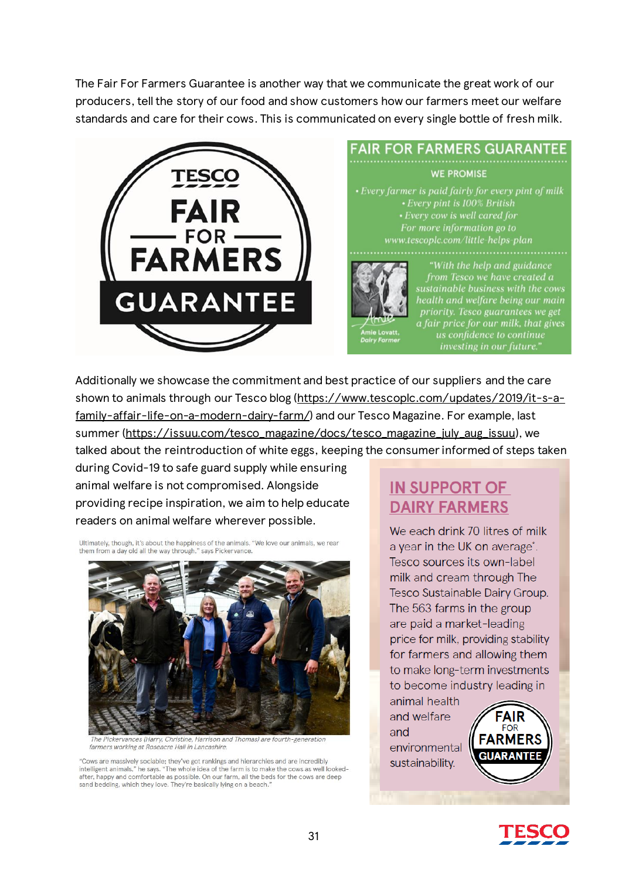The Fair For Farmers Guarantee is another way that we communicate the great work of our producers, tell the story of our food and show customers how our farmers meet our welfare standards and care for their cows. This is communicated on every single bottle of fresh milk.



**FAIR FOR FARMERS GUARANTEE WE PROMISE** 

• Every farmer is paid fairly for every pint of milk • Every pint is 100% British • Every cow is well cared for For more information go to www.tescoplc.com/little-helps-plan



With the help and guidance'' from Tesco we have created a sustainable business with the cows health and welfare being our main priority. Tesco guarantees we get  $a$  fair price for our milk, that gives us confidence to continue investing in our future."

Additionally we showcase the commitment and best practice of our suppliers and the care shown to animals through our Tesco blog [\(https://www.tescoplc.com/updates/2019/it-s-a](https://www.tescoplc.com/updates/2019/it-s-a-family-affair-life-on-a-modern-dairy-farm/)[family-affair-life-on-a-modern-dairy-farm/](https://www.tescoplc.com/updates/2019/it-s-a-family-affair-life-on-a-modern-dairy-farm/)) and our Tesco Magazine. For example, last summer [\(https://issuu.com/tesco\\_magazine/docs/tesco\\_magazine\\_july\\_aug\\_issuu](https://issuu.com/tesco_magazine/docs/tesco_magazine_july_aug_issuu)), we talked about the reintroduction of white eggs, keeping the consumer informed of steps taken

during Covid-19 to safe guard supply while ensuring animal welfare is not compromised. Alongside providing recipe inspiration, we aim to help educate readers on animal welfare wherever possible.

Ultimately, though, it's about the happiness of the animals. "We love our animals, we rear them from a day old all the way through." says Pickervance



The Pickervances (Harry, Christine, Harrison and Thomas) are fourth-generation farmers working at Roseacre Hall in Lancashire.

"Cows are massively sociable; they've got rankings and hierarchies and are incredibly intelligent animals," he says. "The whole idea of the farm is to make the cows as well lookedafter, happy and comfortable as possible. On our farm, all the beds for the cows are deep sand bedding, which they love. They're basically lying on a beach.

# **IN SUPPORT OF DAIRY FARMERS**

We each drink 70 litres of milk a year in the UK on average\*. Tesco sources its own-label milk and cream through The Tesco Sustainable Dairy Group. The 563 farms in the group are paid a market-leading price for milk, providing stability for farmers and allowing them to make long-term investments to become industry leading in

animal health and welfare and environmental sustainability.